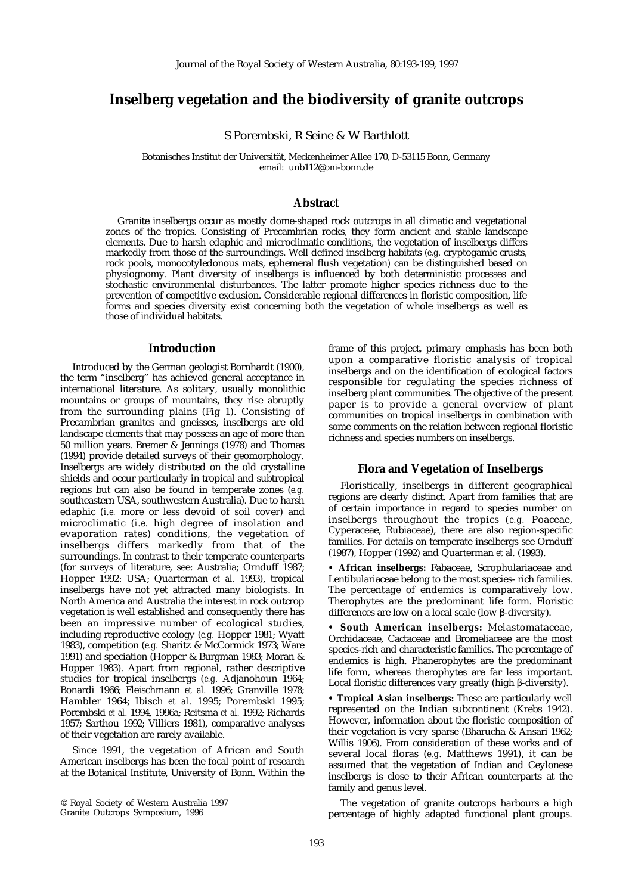# **Inselberg vegetation and the biodiversity of granite outcrops**

S Porembski, R Seine & W Barthlott

Botanisches Institut der Universität, Meckenheimer Allee 170, D-53115 Bonn, Germany email: unb112@oni-bonn.de

# **Abstract**

Granite inselbergs occur as mostly dome-shaped rock outcrops in all climatic and vegetational zones of the tropics. Consisting of Precambrian rocks, they form ancient and stable landscape elements. Due to harsh edaphic and microclimatic conditions, the vegetation of inselbergs differs markedly from those of the surroundings. Well defined inselberg habitats (*e.g.* cryptogamic crusts, rock pools, monocotyledonous mats, ephemeral flush vegetation) can be distinguished based on physiognomy. Plant diversity of inselbergs is influenced by both deterministic processes and stochastic environmental disturbances. The latter promote higher species richness due to the prevention of competitive exclusion. Considerable regional differences in floristic composition, life forms and species diversity exist concerning both the vegetation of whole inselbergs as well as those of individual habitats.

## **Introduction**

Introduced by the German geologist Bornhardt (1900), the term "inselberg" has achieved general acceptance in international literature. As solitary, usually monolithic mountains or groups of mountains, they rise abruptly from the surrounding plains (Fig 1). Consisting of Precambrian granites and gneisses, inselbergs are old landscape elements that may possess an age of more than 50 million years. Bremer & Jennings (1978) and Thomas (1994) provide detailed surveys of their geomorphology. Inselbergs are widely distributed on the old crystalline shields and occur particularly in tropical and subtropical regions but can also be found in temperate zones (*e.g.* southeastern USA, southwestern Australia). Due to harsh edaphic (*i.e.* more or less devoid of soil cover) and microclimatic (*i.e.* high degree of insolation and evaporation rates) conditions, the vegetation of inselbergs differs markedly from that of the surroundings. In contrast to their temperate counterparts (for surveys of literature, see: Australia; Ornduff 1987; Hopper 1992: USA; Quarterman *et al.* 1993), tropical inselbergs have not yet attracted many biologists. In North America and Australia the interest in rock outcrop vegetation is well established and consequently there has been an impressive number of ecological studies, including reproductive ecology (*e.g.* Hopper 1981; Wyatt 1983), competition (*e.g.* Sharitz & McCormick 1973; Ware 1991) and speciation (Hopper & Burgman 1983; Moran & Hopper 1983). Apart from regional, rather descriptive studies for tropical inselbergs (*e.g.* Adjanohoun 1964; Bonardi 1966; Fleischmann *et al.* 1996; Granville 1978; Hambler 1964; Ibisch *et al.* 1995; Porembski 1995; Porembski *et al.* 1994, 1996a; Reitsma *et al.* 1992; Richards 1957; Sarthou 1992; Villiers 1981), comparative analyses of their vegetation are rarely available.

Since 1991, the vegetation of African and South American inselbergs has been the focal point of research at the Botanical Institute, University of Bonn. Within the

frame of this project, primary emphasis has been both upon a comparative floristic analysis of tropical inselbergs and on the identification of ecological factors responsible for regulating the species richness of inselberg plant communities. The objective of the present paper is to provide a general overview of plant communities on tropical inselbergs in combination with some comments on the relation between regional floristic richness and species numbers on inselbergs.

# **Flora and Vegetation of Inselbergs**

Floristically, inselbergs in different geographical regions are clearly distinct. Apart from families that are of certain importance in regard to species number on inselbergs throughout the tropics (*e.g.* Poaceae, Cyperaceae, Rubiaceae), there are also region-specific families. For details on temperate inselbergs see Ornduff (1987), Hopper (1992) and Quarterman *et al.* (1993).

**• African inselbergs:** Fabaceae, Scrophulariaceae and Lentibulariaceae belong to the most species- rich families. The percentage of endemics is comparatively low. Therophytes are the predominant life form. Floristic differences are low on a local scale (low β-diversity).

**• South American inselbergs:** Melastomataceae, Orchidaceae, Cactaceae and Bromeliaceae are the most species-rich and characteristic families. The percentage of endemics is high. Phanerophytes are the predominant life form, whereas therophytes are far less important. Local floristic differences vary greatly (high β-diversity).

**• Tropical Asian inselbergs:** These are particularly well represented on the Indian subcontinent (Krebs 1942). However, information about the floristic composition of their vegetation is very sparse (Bharucha & Ansari 1962; Willis 1906). From consideration of these works and of several local floras (*e.g.* Matthews 1991), it can be assumed that the vegetation of Indian and Ceylonese inselbergs is close to their African counterparts at the family and genus level.

The vegetation of granite outcrops harbours a high percentage of highly adapted functional plant groups.

<sup>©</sup> Royal Society of Western Australia 1997

Granite Outcrops Symposium, 1996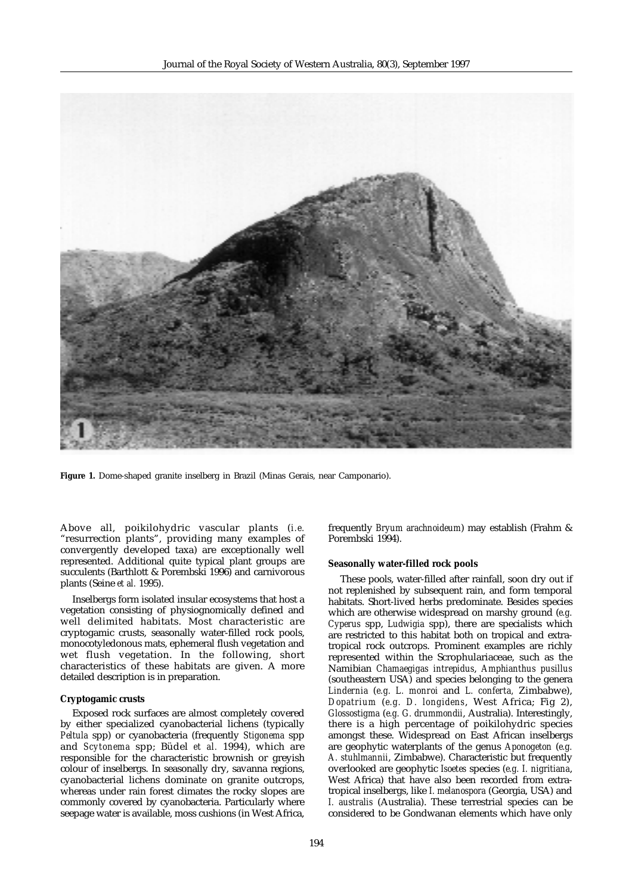

**Figure 1.** Dome-shaped granite inselberg in Brazil (Minas Gerais, near Camponario).

Above all, poikilohydric vascular plants (*i.e.* "resurrection plants", providing many examples of convergently developed taxa) are exceptionally well represented. Additional quite typical plant groups are succulents (Barthlott & Porembski 1996) and carnivorous plants (Seine *et al.* 1995).

Inselbergs form isolated insular ecosystems that host a vegetation consisting of physiognomically defined and well delimited habitats. Most characteristic are cryptogamic crusts, seasonally water-filled rock pools, monocotyledonous mats, ephemeral flush vegetation and wet flush vegetation. In the following, short characteristics of these habitats are given. A more detailed description is in preparation.

### **Cryptogamic crusts**

Exposed rock surfaces are almost completely covered by either specialized cyanobacterial lichens (typically *Peltula* spp) or cyanobacteria (frequently *Stigonema* spp and *Scytonema* spp; Büdel *et al.* 1994), which are responsible for the characteristic brownish or greyish colour of inselbergs. In seasonally dry, savanna regions, cyanobacterial lichens dominate on granite outcrops, whereas under rain forest climates the rocky slopes are commonly covered by cyanobacteria. Particularly where seepage water is available, moss cushions (in West Africa, frequently *Bryum arachnoideum*) may establish (Frahm & Porembski 1994).

#### **Seasonally water-filled rock pools**

These pools, water-filled after rainfall, soon dry out if not replenished by subsequent rain, and form temporal habitats. Short-lived herbs predominate. Besides species which are otherwise widespread on marshy ground (*e.g. Cyperus* spp, *Ludwigia* spp), there are specialists which are restricted to this habitat both on tropical and extratropical rock outcrops. Prominent examples are richly represented within the Scrophulariaceae, such as the Namibian *Chamaegigas intrepidus*, *Amphianthus pusillus* (southeastern USA) and species belonging to the genera *Lindernia* (*e.g. L. monroi* and *L. conferta,* Zimbabwe), *Dopatrium* (*e.g. D. longidens*, West Africa; Fig 2), *Glossostigma* (*e.g. G. drummondii*, Australia). Interestingly, there is a high percentage of poikilohydric species amongst these. Widespread on East African inselbergs are geophytic waterplants of the genus *Aponogeton* (*e.g. A. stuhlmannii*, Zimbabwe). Characteristic but frequently overlooked are geophytic *Isoetes* species (*e.g. I. nigritiana*, West Africa) that have also been recorded from extratropical inselbergs, like *I. melanospora* (Georgia, USA) and *I. australis* (Australia). These terrestrial species can be considered to be Gondwanan elements which have only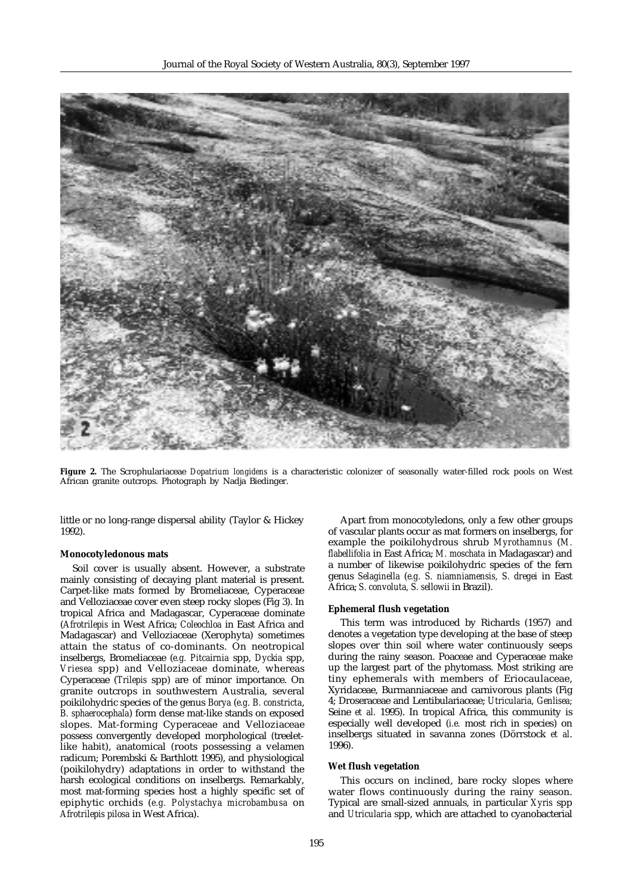

**Figure 2.** The Scrophulariaceae *Dopatrium longidens* is a characteristic colonizer of seasonally water-filled rock pools on West African granite outcrops. Photograph by Nadja Biedinger.

little or no long-range dispersal ability (Taylor & Hickey 1992).

## **Monocotyledonous mats**

Soil cover is usually absent. However, a substrate mainly consisting of decaying plant material is present. Carpet-like mats formed by Bromeliaceae, Cyperaceae and Velloziaceae cover even steep rocky slopes (Fig 3). In tropical Africa and Madagascar, Cyperaceae dominate (*Afrotrilepis* in West Africa; *Coleochloa* in East Africa and Madagascar) and Velloziaceae (Xerophyta) sometimes attain the status of co-dominants. On neotropical inselbergs, Bromeliaceae (*e.g. Pitcairnia* spp, *Dyckia* spp, *Vriesea* spp) and Velloziaceae dominate, whereas Cyperaceae (*Trilepis* spp) are of minor importance. On granite outcrops in southwestern Australia, several poikilohydric species of the genus *Borya* (*e.g. B. constricta*, *B. sphaerocephala*) form dense mat-like stands on exposed slopes. Mat-forming Cyperaceae and Velloziaceae possess convergently developed morphological (treeletlike habit), anatomical (roots possessing a velamen radicum; Porembski & Barthlott 1995), and physiological (poikilohydry) adaptations in order to withstand the harsh ecological conditions on inselbergs. Remarkably, most mat-forming species host a highly specific set of epiphytic orchids (*e.g. Polystachya microbambusa* on *Afrotrilepis pilosa* in West Africa).

Apart from monocotyledons, only a few other groups of vascular plants occur as mat formers on inselbergs, for example the poikilohydrous shrub *Myrothamnus* (*M. flabellifolia* in East Africa; *M. moschata* in Madagascar) and a number of likewise poikilohydric species of the fern genus *Selaginella* (*e.g. S. niamniamensis, S. dregei* in East Africa; *S. convoluta, S. sellowii* in Brazil).

#### **Ephemeral flush vegetation**

This term was introduced by Richards (1957) and denotes a vegetation type developing at the base of steep slopes over thin soil where water continuously seeps during the rainy season. Poaceae and Cyperaceae make up the largest part of the phytomass. Most striking are tiny ephemerals with members of Eriocaulaceae, Xyridaceae, Burmanniaceae and carnivorous plants (Fig 4; Droseraceae and Lentibulariaceae; *Utricularia, Genlisea;* Seine *et al.* 1995). In tropical Africa, this community is especially well developed (*i.e.* most rich in species) on inselbergs situated in savanna zones (Dörrstock *et al*. 1996).

#### **Wet flush vegetation**

This occurs on inclined, bare rocky slopes where water flows continuously during the rainy season. Typical are small-sized annuals, in particular *Xyris* spp and *Utricularia* spp, which are attached to cyanobacterial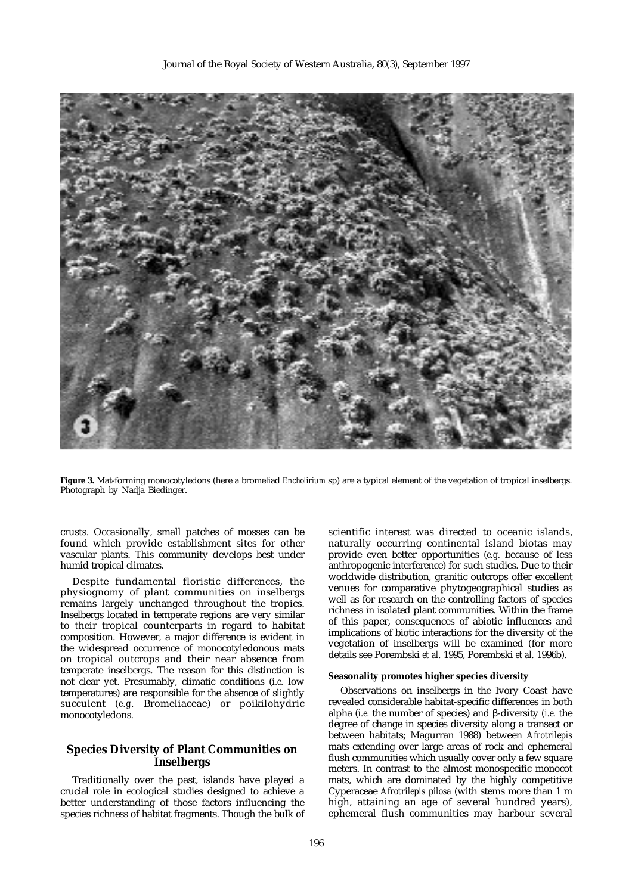

**Figure 3.** Mat-forming monocotyledons (here a bromeliad *Encholirium* sp) are a typical element of the vegetation of tropical inselbergs. Photograph by Nadja Biedinger.

crusts. Occasionally, small patches of mosses can be found which provide establishment sites for other vascular plants. This community develops best under humid tropical climates.

Despite fundamental floristic differences, the physiognomy of plant communities on inselbergs remains largely unchanged throughout the tropics. Inselbergs located in temperate regions are very similar to their tropical counterparts in regard to habitat composition. However, a major difference is evident in the widespread occurrence of monocotyledonous mats on tropical outcrops and their near absence from temperate inselbergs. The reason for this distinction is not clear yet. Presumably, climatic conditions (*i.e.* low temperatures) are responsible for the absence of slightly succulent (*e.g.* Bromeliaceae) or poikilohydric monocotyledons.

# **Species Diversity of Plant Communities on Inselbergs**

Traditionally over the past, islands have played a crucial role in ecological studies designed to achieve a better understanding of those factors influencing the species richness of habitat fragments. Though the bulk of scientific interest was directed to oceanic islands, naturally occurring continental island biotas may provide even better opportunities (*e.g.* because of less anthropogenic interference) for such studies. Due to their worldwide distribution, granitic outcrops offer excellent venues for comparative phytogeographical studies as well as for research on the controlling factors of species richness in isolated plant communities. Within the frame of this paper, consequences of abiotic influences and implications of biotic interactions for the diversity of the vegetation of inselbergs will be examined (for more details see Porembski *et al.* 1995, Porembski *et al.* 1996b).

#### **Seasonality promotes higher species diversity**

Observations on inselbergs in the Ivory Coast have revealed considerable habitat-specific differences in both alpha (*i.e.* the number of species) and β-diversity (*i.e.* the degree of change in species diversity along a transect or between habitats; Magurran 1988) between *Afrotrilepis* mats extending over large areas of rock and ephemeral flush communities which usually cover only a few square meters. In contrast to the almost monospecific monocot mats, which are dominated by the highly competitive Cyperaceae *Afrotrilepis pilosa* (with stems more than 1 m high, attaining an age of several hundred years), ephemeral flush communities may harbour several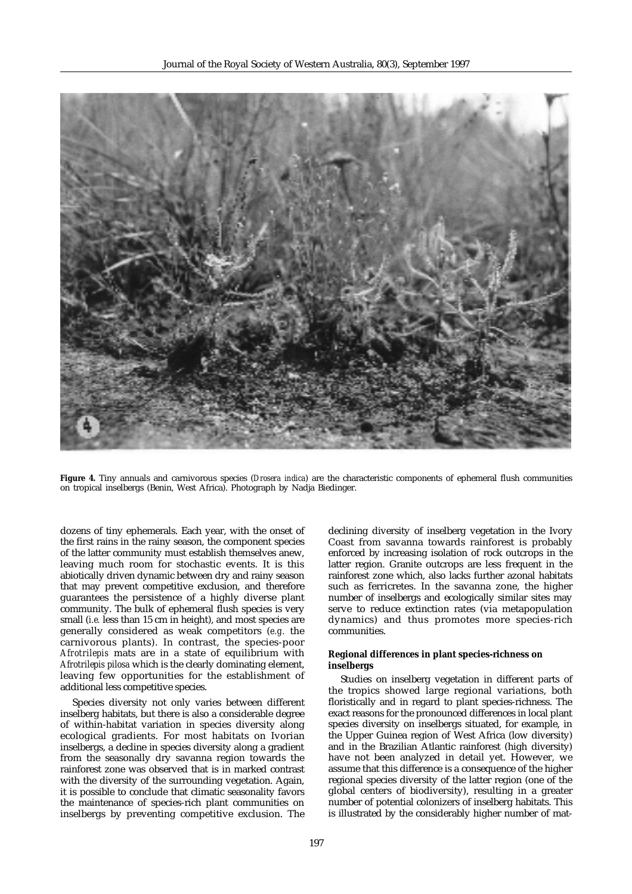

**Figure 4.** Tiny annuals and carnivorous species (*Drosera indica*) are the characteristic components of ephemeral flush communities on tropical inselbergs (Benin, West Africa). Photograph by Nadja Biedinger.

dozens of tiny ephemerals. Each year, with the onset of the first rains in the rainy season, the component species of the latter community must establish themselves anew, leaving much room for stochastic events. It is this abiotically driven dynamic between dry and rainy season that may prevent competitive exclusion, and therefore guarantees the persistence of a highly diverse plant community. The bulk of ephemeral flush species is very small (*i.e.* less than 15 cm in height), and most species are generally considered as weak competitors (*e.g.* the carnivorous plants). In contrast, the species-poor *Afrotrilepis* mats are in a state of equilibrium with *Afrotrilepis pilosa* which is the clearly dominating element, leaving few opportunities for the establishment of additional less competitive species.

Species diversity not only varies between different inselberg habitats, but there is also a considerable degree of within-habitat variation in species diversity along ecological gradients. For most habitats on Ivorian inselbergs, a decline in species diversity along a gradient from the seasonally dry savanna region towards the rainforest zone was observed that is in marked contrast with the diversity of the surrounding vegetation. Again, it is possible to conclude that climatic seasonality favors the maintenance of species-rich plant communities on inselbergs by preventing competitive exclusion. The

declining diversity of inselberg vegetation in the Ivory Coast from savanna towards rainforest is probably enforced by increasing isolation of rock outcrops in the latter region. Granite outcrops are less frequent in the rainforest zone which, also lacks further azonal habitats such as ferricretes. In the savanna zone, the higher number of inselbergs and ecologically similar sites may serve to reduce extinction rates (via metapopulation dynamics) and thus promotes more species-rich communities.

# **Regional differences in plant species-richness on inselbergs**

Studies on inselberg vegetation in different parts of the tropics showed large regional variations, both floristically and in regard to plant species-richness. The exact reasons for the pronounced differences in local plant species diversity on inselbergs situated, for example, in the Upper Guinea region of West Africa (low diversity) and in the Brazilian Atlantic rainforest (high diversity) have not been analyzed in detail yet. However, we assume that this difference is a consequence of the higher regional species diversity of the latter region (one of the global centers of biodiversity), resulting in a greater number of potential colonizers of inselberg habitats. This is illustrated by the considerably higher number of mat-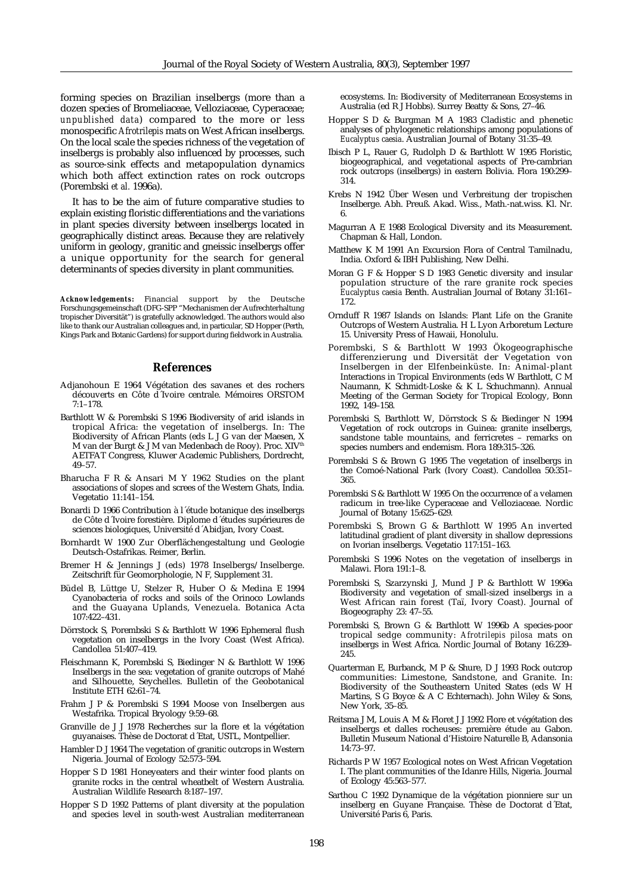forming species on Brazilian inselbergs (more than a dozen species of Bromeliaceae, Velloziaceae, Cyperaceae; *unpublished data*) compared to the more or less monospecific *Afrotrilepis* mats on West African inselbergs. On the local scale the species richness of the vegetation of inselbergs is probably also influenced by processes, such as source-sink effects and metapopulation dynamics which both affect extinction rates on rock outcrops (Porembski *et al.* 1996a).

It has to be the aim of future comparative studies to explain existing floristic differentiations and the variations in plant species diversity between inselbergs located in geographically distinct areas. Because they are relatively uniform in geology, granitic and gneissic inselbergs offer a unique opportunity for the search for general determinants of species diversity in plant communities.

*Acknowledgements***:** Financial support by the Deutsche Forschungsgemeinschaft (DFG-SPP "Mechanismen der Aufrechterhaltung tropischer Diversität") is gratefully acknowledged. The authors would also like to thank our Australian colleagues and, in particular, SD Hopper (Perth, Kings Park and Botanic Gardens) for support during fieldwork in Australia.

# **References**

- Adjanohoun E 1964 Végétation des savanes et des rochers découverts en Côte d´Ivoire centrale. Mémoires ORSTOM 7:1–178.
- Barthlott W & Porembski S 1996 Biodiversity of arid islands in tropical Africa: the vegetation of inselbergs. In: The Biodiversity of African Plants (eds L J G van der Maesen, X M van der Burgt & J M van Medenbach de Rooy). Proc. XIV<sup>th</sup> AETFAT Congress, Kluwer Academic Publishers, Dordrecht, 49–57.
- Bharucha F R & Ansari M Y 1962 Studies on the plant associations of slopes and screes of the Western Ghats, India. Vegetatio 11:141–154.
- Bonardi D 1966 Contribution à l´étude botanique des inselbergs de Côte d´Ivoire forestière. Diplome d´études supérieures de sciences biologiques, Université d´Abidjan, Ivory Coast.
- Bornhardt W 1900 Zur Oberflächengestaltung und Geologie Deutsch-Ostafrikas. Reimer, Berlin.
- Bremer H & Jennings J (eds) 1978 Inselbergs/Inselberge. Zeitschrift für Geomorphologie, N F, Supplement 31.
- Büdel B, Lüttge U, Stelzer R, Huber O & Medina E 1994 Cyanobacteria of rocks and soils of the Orinoco Lowlands and the Guayana Uplands, Venezuela. Botanica Acta 107:422–431.
- Dörrstock S, Porembski S & Barthlott W 1996 Ephemeral flush vegetation on inselbergs in the Ivory Coast (West Africa). Candollea 51:407–419.
- Fleischmann K, Porembski S, Biedinger N & Barthlott W 1996 Inselbergs in the sea: vegetation of granite outcrops of Mahé and Silhouette, Seychelles. Bulletin of the Geobotanical Institute ETH 62:61–74.
- Frahm J P & Porembski S 1994 Moose von Inselbergen aus Westafrika. Tropical Bryology 9:59–68.
- Granville de J J 1978 Recherches sur la flore et la végétation guyanaises. Thèse de Doctorat d´Etat, USTL, Montpellier.
- Hambler D J 1964 The vegetation of granitic outcrops in Western Nigeria. Journal of Ecology 52:573–594.
- Hopper S D 1981 Honeyeaters and their winter food plants on granite rocks in the central wheatbelt of Western Australia. Australian Wildlife Research 8:187–197.
- Hopper S D 1992 Patterns of plant diversity at the population and species level in south-west Australian mediterranean

ecosystems. In: Biodiversity of Mediterranean Ecosystems in Australia (ed R J Hobbs). Surrey Beatty & Sons, 27–46.

- Hopper S D & Burgman M A 1983 Cladistic and phenetic analyses of phylogenetic relationships among populations of *Eucalyptus caesia*. Australian Journal of Botany 31:35–49.
- Ibisch P L, Rauer G, Rudolph D & Barthlott W 1995 Floristic, biogeographical, and vegetational aspects of Pre-cambrian rock outcrops (inselbergs) in eastern Bolivia. Flora 190:299– 314.
- Krebs N 1942 Über Wesen und Verbreitung der tropischen Inselberge. Abh. Preuß. Akad. Wiss., Math.-nat.wiss. Kl. Nr. 6.
- Magurran A E 1988 Ecological Diversity and its Measurement. Chapman & Hall, London.
- Matthew K M 1991 An Excursion Flora of Central Tamilnadu, India. Oxford & IBH Publishing, New Delhi.
- Moran G F & Hopper S D 1983 Genetic diversity and insular population structure of the rare granite rock species *Eucalyptus caesia* Benth. Australian Journal of Botany 31:161– 172.
- Ornduff R 1987 Islands on Islands: Plant Life on the Granite Outcrops of Western Australia. H L Lyon Arboretum Lecture 15. University Press of Hawaii, Honolulu.
- Porembski, S & Barthlott W 1993 Ökogeographische differenzierung und Diversität der Vegetation von Inselbergen in der Elfenbeinküste. In: Animal-plant Interactions in Tropical Environments (eds W Barthlott, C M Naumann, K Schmidt-Loske & K L Schuchmann). Annual Meeting of the German Society for Tropical Ecology, Bonn 1992, 149–158.
- Porembski S, Barthlott W, Dörrstock S & Biedinger N 1994 Vegetation of rock outcrops in Guinea: granite inselbergs, sandstone table mountains, and ferricretes - remarks on species numbers and endemism. Flora 189:315–326.
- Porembski S & Brown G 1995 The vegetation of inselbergs in the Comoé-National Park (Ivory Coast). Candollea 50:351– 365.
- Porembski S & Barthlott W 1995 On the occurrence of a velamen radicum in tree-like Cyperaceae and Velloziaceae. Nordic Journal of Botany 15:625–629.
- Porembski S, Brown G & Barthlott W 1995 An inverted latitudinal gradient of plant diversity in shallow depressions on Ivorian inselbergs. Vegetatio 117:151–163.
- Porembski S 1996 Notes on the vegetation of inselbergs in Malawi. Flora 191:1–8.
- Porembski S, Szarzynski J, Mund J P & Barthlott W 1996a Biodiversity and vegetation of small-sized inselbergs in a West African rain forest (Taï, Ivory Coast). Journal of Biogeography 23: 47–55.
- Porembski S, Brown G & Barthlott W 1996b A species-poor tropical sedge community: *Afrotrilepis pilosa* mats on inselbergs in West Africa. Nordic Journal of Botany 16:239– 245.
- Quarterman E, Burbanck, M P & Shure, D J 1993 Rock outcrop communities: Limestone, Sandstone, and Granite. In: Biodiversity of the Southeastern United States (eds W H Martins, S G Boyce & A C Echternach). John Wiley & Sons, New York, 35–85.
- Reitsma J M, Louis A M & Floret J J 1992 Flore et végétation des inselbergs et dalles rocheuses: première étude au Gabon. Bulletin Museum National d'Histoire Naturelle B, Adansonia 14:73–97.
- Richards P W 1957 Ecological notes on West African Vegetation I. The plant communities of the Idanre Hills, Nigeria. Journal of Ecology 45:563–577.
- Sarthou C 1992 Dynamique de la végétation pionniere sur un inselberg en Guyane Française. Thèse de Doctorat d´Etat, Université Paris 6, Paris.